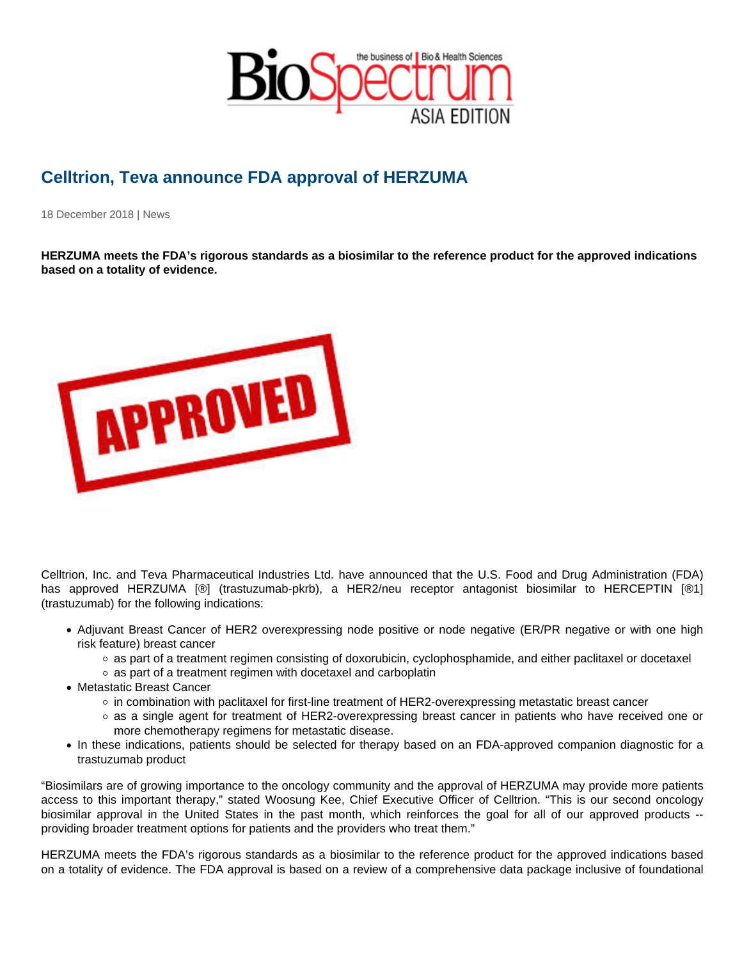## Celltrion, Teva announce FDA approval of HERZUMA

18 December 2018 | News

HERZUMA meets the FDA's rigorous standards as a biosimilar to the reference product for the approved indications based on a totality of evidence.

Celltrion, Inc. and Teva Pharmaceutical Industries Ltd. have announced that the U.S. Food and Drug Administration (FDA) has approved HERZUMA [®] (trastuzumab-pkrb), a HER2/neu receptor antagonist biosimilar to HERCEPTIN [®1] (trastuzumab) for the following indications:

- Adjuvant Breast Cancer of HER2 overexpressing node positive or node negative (ER/PR negative or with one high risk feature) breast cancer
	- as part of a treatment regimen consisting of doxorubicin, cyclophosphamide, and either paclitaxel or docetaxel
	- as part of a treatment regimen with docetaxel and carboplatin
- Metastatic Breast Cancer
	- in combination with paclitaxel for first-line treatment of HER2-overexpressing metastatic breast cancer
	- as a single agent for treatment of HER2-overexpressing breast cancer in patients who have received one or more chemotherapy regimens for metastatic disease.
- In these indications, patients should be selected for therapy based on an FDA-approved companion diagnostic for a trastuzumab product

"Biosimilars are of growing importance to the oncology community and the approval of HERZUMA may provide more patients access to this important therapy," stated Woosung Kee, Chief Executive Officer of Celltrion. "This is our second oncology biosimilar approval in the United States in the past month, which reinforces the goal for all of our approved products - providing broader treatment options for patients and the providers who treat them."

HERZUMA meets the FDA's rigorous standards as a biosimilar to the reference product for the approved indications based on a totality of evidence. The FDA approval is based on a review of a comprehensive data package inclusive of foundational